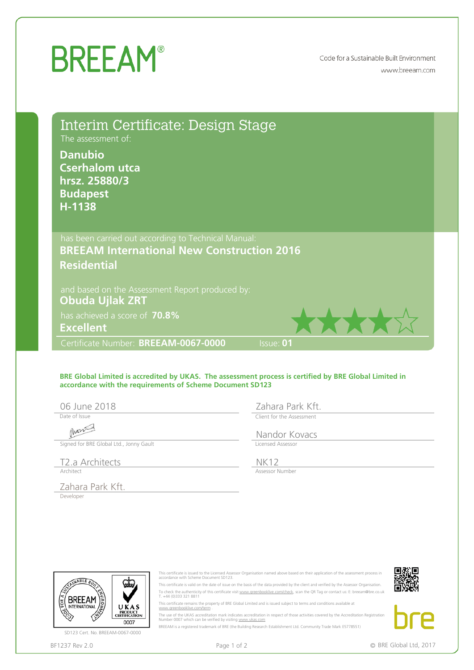## **BREEAM®**

Code for a Sustainable Built Environment www.breeam.com

| Interim Certificate: Design Stage<br>The assessment of:<br><b>Danubio</b><br><b>Cserhalom utca</b><br>hrsz. 25880/3<br><b>Budapest</b><br>H-1138 |                                                                                                |                                                                                                                                                                                                                                                                                                                                                                                                                                                                                                                                                                                                                                                                                               |  |
|--------------------------------------------------------------------------------------------------------------------------------------------------|------------------------------------------------------------------------------------------------|-----------------------------------------------------------------------------------------------------------------------------------------------------------------------------------------------------------------------------------------------------------------------------------------------------------------------------------------------------------------------------------------------------------------------------------------------------------------------------------------------------------------------------------------------------------------------------------------------------------------------------------------------------------------------------------------------|--|
| has been carried out according to Technical Manual:<br><b>BREEAM International New Construction 2016</b>                                         |                                                                                                |                                                                                                                                                                                                                                                                                                                                                                                                                                                                                                                                                                                                                                                                                               |  |
| <b>Residential</b>                                                                                                                               |                                                                                                |                                                                                                                                                                                                                                                                                                                                                                                                                                                                                                                                                                                                                                                                                               |  |
| and based on the Assessment Report produced by:<br><b>Obuda Ujlak ZRT</b><br>has achieved a score of 70.8%<br><b>Excellent</b>                   |                                                                                                |                                                                                                                                                                                                                                                                                                                                                                                                                                                                                                                                                                                                                                                                                               |  |
| Certificate Number: BREEAM-0067-0000                                                                                                             |                                                                                                | <b>Issue: 01</b>                                                                                                                                                                                                                                                                                                                                                                                                                                                                                                                                                                                                                                                                              |  |
| accordance with the requirements of Scheme Document SD123<br>06 June 2018<br>Date of Issue                                                       |                                                                                                | Zahara Park Kft.<br>Client for the Assessment                                                                                                                                                                                                                                                                                                                                                                                                                                                                                                                                                                                                                                                 |  |
|                                                                                                                                                  |                                                                                                | Nandor Kovacs                                                                                                                                                                                                                                                                                                                                                                                                                                                                                                                                                                                                                                                                                 |  |
| Signed for BRE Global Ltd., Jonny Gault                                                                                                          |                                                                                                | Licensed Assessor                                                                                                                                                                                                                                                                                                                                                                                                                                                                                                                                                                                                                                                                             |  |
| T2.a Architects<br>Architect                                                                                                                     |                                                                                                | <b>NK12</b><br>Assessor Number                                                                                                                                                                                                                                                                                                                                                                                                                                                                                                                                                                                                                                                                |  |
| Zahara Park Kft.                                                                                                                                 |                                                                                                |                                                                                                                                                                                                                                                                                                                                                                                                                                                                                                                                                                                                                                                                                               |  |
| Developer<br><b>NABLE BU</b><br><b>BREEAM</b><br><b>INTERNATIONAL</b><br>UKAS<br>PRODUCT<br>CERTIFICATION                                        | accordance with Scheme Document SD123.<br>T. +44 (0)333 321 8811<br>www.greenbooklive.com/term | This certificate is issued to the Licensed Assessor Organisation named above based on their application of the assessment process in<br>This certificate is valid on the date of issue on the basis of the data provided by the client and verified by the Assessor Organisation.<br>To check the authenticity of this certificate visit www.greenbooklive.com/check, scan the QR Tag or contact us: E: breeam@bre.co.uk<br>This certificate remains the property of BRE Global Limited and is issued subject to terms and conditions available at<br>The use of the UKAS accreditation mark indicates accreditation in respect of those activities covered by the Accreditation Registration |  |
| 0007<br>SD123 Cert. No. BREEAM-0067-0000                                                                                                         | Number 0007 which can be verified by visiting www.ukas.com                                     | BREEAM is a registered trademark of BRE (the Building Research Establishment Ltd. Community Trade Mark E5778551)                                                                                                                                                                                                                                                                                                                                                                                                                                                                                                                                                                              |  |
|                                                                                                                                                  |                                                                                                |                                                                                                                                                                                                                                                                                                                                                                                                                                                                                                                                                                                                                                                                                               |  |

## **BRE Global Limited is accredited by UKAS. The assessment process is certified by BRE Global Limited in accordance with the requirements of Scheme Document SD123**

Date of Issue